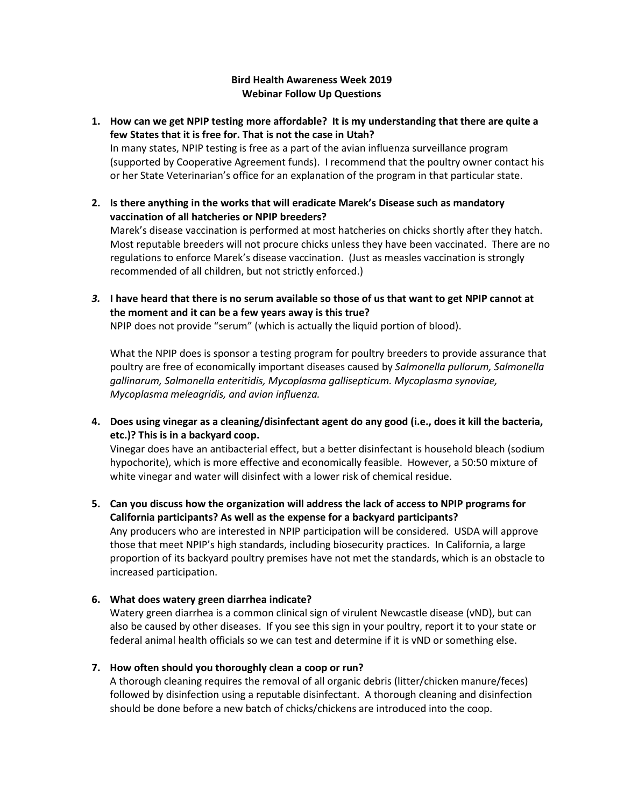#### **Bird Health Awareness Week 2019 Webinar Follow Up Questions**

## **1. How can we get NPIP testing more affordable? It is my understanding that there are quite a few States that it is free for. That is not the case in Utah?** In many states, NPIP testing is free as a part of the avian influenza surveillance program (supported by Cooperative Agreement funds). I recommend that the poultry owner contact his or her State Veterinarian's office for an explanation of the program in that particular state.

- **2. Is there anything in the works that will eradicate Marek's Disease such as mandatory vaccination of all hatcheries or NPIP breeders?** Marek's disease vaccination is performed at most hatcheries on chicks shortly after they hatch. Most reputable breeders will not procure chicks unless they have been vaccinated. There are no regulations to enforce Marek's disease vaccination. (Just as measles vaccination is strongly recommended of all children, but not strictly enforced.)
- *3.* **I have heard that there is no serum available so those of us that want to get NPIP cannot at the moment and it can be a few years away is this true?**

NPIP does not provide "serum" (which is actually the liquid portion of blood).

What the NPIP does is sponsor a testing program for poultry breeders to provide assurance that poultry are free of economically important diseases caused by *Salmonella pullorum, Salmonella gallinarum, Salmonella enteritidis, Mycoplasma gallisepticum. Mycoplasma synoviae, Mycoplasma meleagridis, and avian influenza.*

**4. Does using vinegar as a cleaning/disinfectant agent do any good (i.e., does it kill the bacteria, etc.)? This is in a backyard coop.** 

Vinegar does have an antibacterial effect, but a better disinfectant is household bleach (sodium hypochorite), which is more effective and economically feasible. However, a 50:50 mixture of white vinegar and water will disinfect with a lower risk of chemical residue.

**5. Can you discuss how the organization will address the lack of access to NPIP programs for California participants? As well as the expense for a backyard participants?** Any producers who are interested in NPIP participation will be considered. USDA will approve those that meet NPIP's high standards, including biosecurity practices. In California, a large proportion of its backyard poultry premises have not met the standards, which is an obstacle to increased participation.

# **6. What does watery green diarrhea indicate?**

Watery green diarrhea is a common clinical sign of virulent Newcastle disease (vND), but can also be caused by other diseases. If you see this sign in your poultry, report it to your state or federal animal health officials so we can test and determine if it is vND or something else.

#### **7. How often should you thoroughly clean a coop or run?**

A thorough cleaning requires the removal of all organic debris (litter/chicken manure/feces) followed by disinfection using a reputable disinfectant. A thorough cleaning and disinfection should be done before a new batch of chicks/chickens are introduced into the coop.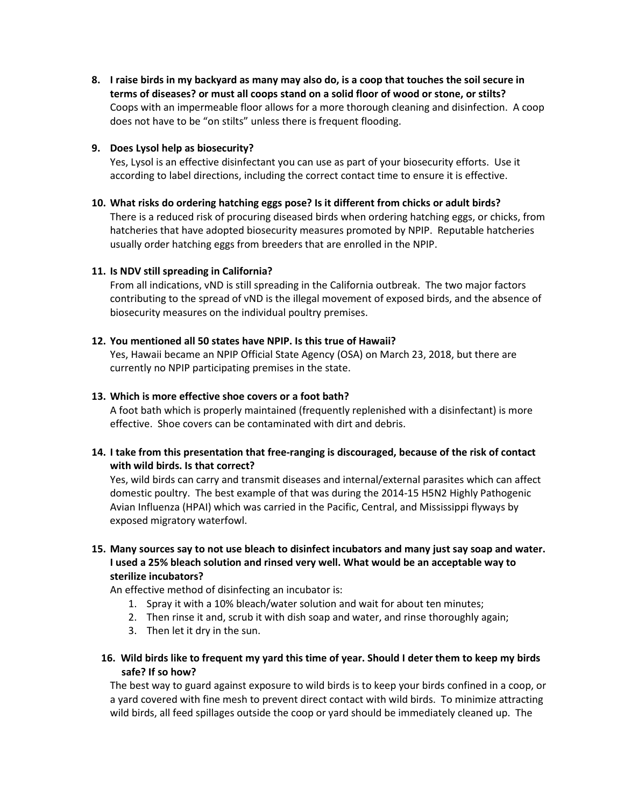**8. I raise birds in my backyard as many may also do, is a coop that touches the soil secure in terms of diseases? or must all coops stand on a solid floor of wood or stone, or stilts?** Coops with an impermeable floor allows for a more thorough cleaning and disinfection. A coop does not have to be "on stilts" unless there is frequent flooding.

#### **9. Does Lysol help as biosecurity?**

Yes, Lysol is an effective disinfectant you can use as part of your biosecurity efforts. Use it according to label directions, including the correct contact time to ensure it is effective.

#### **10. What risks do ordering hatching eggs pose? Is it different from chicks or adult birds?**

There is a reduced risk of procuring diseased birds when ordering hatching eggs, or chicks, from hatcheries that have adopted biosecurity measures promoted by NPIP. Reputable hatcheries usually order hatching eggs from breeders that are enrolled in the NPIP.

#### **11. Is NDV still spreading in California?**

From all indications, vND is still spreading in the California outbreak. The two major factors contributing to the spread of vND is the illegal movement of exposed birds, and the absence of biosecurity measures on the individual poultry premises.

#### **12. You mentioned all 50 states have NPIP. Is this true of Hawaii?**

Yes, Hawaii became an NPIP Official State Agency (OSA) on March 23, 2018, but there are currently no NPIP participating premises in the state.

#### **13. Which is more effective shoe covers or a foot bath?**

A foot bath which is properly maintained (frequently replenished with a disinfectant) is more effective. Shoe covers can be contaminated with dirt and debris.

### **14. I take from this presentation that free-ranging is discouraged, because of the risk of contact with wild birds. Is that correct?**

Yes, wild birds can carry and transmit diseases and internal/external parasites which can affect domestic poultry. The best example of that was during the 2014-15 H5N2 Highly Pathogenic Avian Influenza (HPAI) which was carried in the Pacific, Central, and Mississippi flyways by exposed migratory waterfowl.

## **15. Many sources say to not use bleach to disinfect incubators and many just say soap and water. I used a 25% bleach solution and rinsed very well. What would be an acceptable way to sterilize incubators?**

An effective method of disinfecting an incubator is:

- 1. Spray it with a 10% bleach/water solution and wait for about ten minutes;
- 2. Then rinse it and, scrub it with dish soap and water, and rinse thoroughly again;
- 3. Then let it dry in the sun.
- **16. Wild birds like to frequent my yard this time of year. Should I deter them to keep my birds safe? If so how?**

The best way to guard against exposure to wild birds is to keep your birds confined in a coop, or a yard covered with fine mesh to prevent direct contact with wild birds. To minimize attracting wild birds, all feed spillages outside the coop or yard should be immediately cleaned up. The